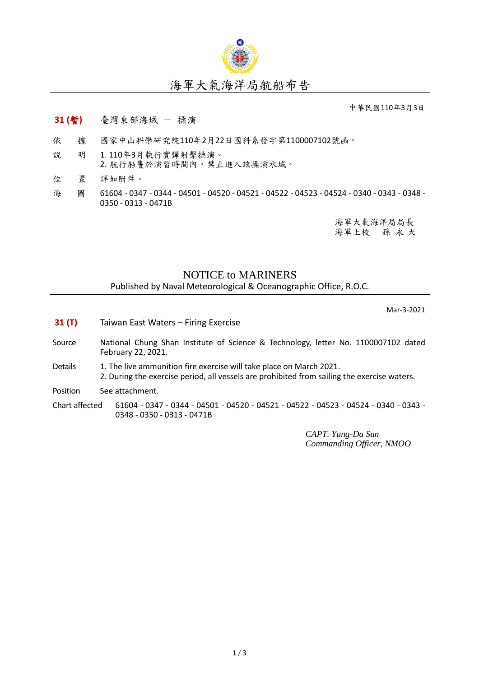

## 海軍大氣海洋局航船布告

中華民國110年3月3日

## **31 (**暫**)** 臺灣東部海域 - 操演

- 依 據 國家中山科學研究院110年2月22日國科系發字第1100007102號函。
- 說 明 1. 110年3月執行實彈射擊操演。 2. 航行船隻於演習時間內,禁止進入該操演水域。
- 位 置 詳如附件。
- 海 圖 61604 0347 0344 04501 04520 04521 04522 04523 04524 0340 0343 0348 -0350 - 0313 - 0471B

海軍大氣海洋局局長 海軍上校 孫 永 大

## NOTICE to MARINERS

Published by Naval Meteorological & Oceanographic Office, R.O.C.

Mar-3-2021

- **31 (T)** Taiwan East Waters Firing Exercise
- Source National Chung Shan Institute of Science & Technology, letter No. 1100007102 dated February 22, 2021.
- Details 1. The live ammunition fire exercise will take place on March 2021. 2. During the exercise period, all vessels are prohibited from sailing the exercise waters.

Position See attachment.

Chart affected 61604 - 0347 - 0344 - 04501 - 04520 - 04521 - 04522 - 04523 - 04524 - 0340 - 0343 - 0348 - 0350 - 0313 - 0471B

> *CAPT. Yung-Da Sun Commanding Officer, NMOO*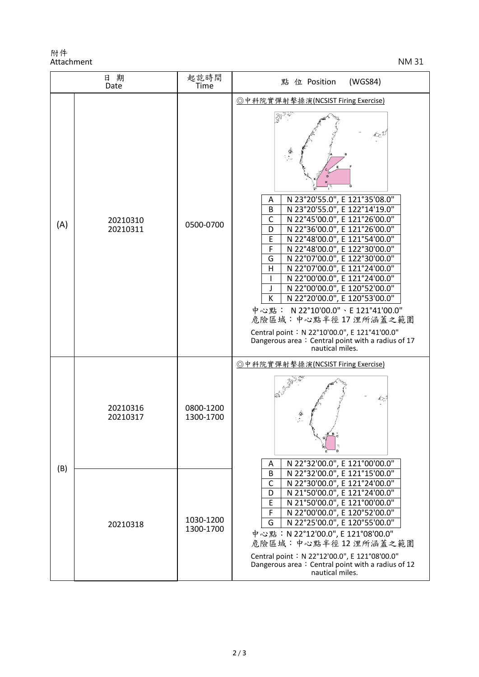附件 Attachment NM 31

| 日期<br>Date |                      | 起訖時間<br>Time           | 點 位 Position<br>(WGS84)                                                                                                                                                                                                                                                                                                                                                                                                                                                                                                                                                                                                                                        |
|------------|----------------------|------------------------|----------------------------------------------------------------------------------------------------------------------------------------------------------------------------------------------------------------------------------------------------------------------------------------------------------------------------------------------------------------------------------------------------------------------------------------------------------------------------------------------------------------------------------------------------------------------------------------------------------------------------------------------------------------|
| (A)        | 20210310<br>20210311 | 0500-0700              | ◎中科院實彈射擊操演(NCSIST Firing Exercise)<br>N 23°20'55.0", E 121°35'08.0"<br>Α<br>N 23°20'55.0", E 122°14'19.0"<br>B<br>$\mathsf{C}$<br>N 22°45'00.0", E 121°26'00.0"<br>N 22°36'00.0", E 121°26'00.0"<br>D<br>N 22°48'00.0", E 121°54'00.0"<br>Ε<br>N 22°48'00.0", E 122°30'00.0"<br>F<br>N 22°07'00.0", E 122°30'00.0"<br>G<br>N 22°07'00.0", E 121°24'00.0"<br>H<br>N 22°00'00.0", E 121°24'00.0"<br>N 22°00'00.0", E 120°52'00.0"<br>J<br>N 22°20'00.0", E 120°53'00.0"<br>K<br>中心點: N 22°10'00.0"、E 121°41'00.0"<br>危險區域:中心點半徑17浬所涵蓋之範圍<br>Central point: N 22°10'00.0", E 121°41'00.0"<br>Dangerous area: Central point with a radius of 17<br>nautical miles. |
| (B)        | 20210316<br>20210317 | 0800-1200<br>1300-1700 | ◎中科院實彈射擊操演(NCSIST Firing Exercise)<br>N 22°32'00.0", E 121°00'00.0"<br>Α<br>N 22°32'00.0", E 121°15'00.0"<br>B<br>N 22°30'00.0", E 121°24'00.0"<br>C<br>N 21°50'00.0", E 121°24'00.0"<br>D<br>N 21°50'00.0", E 121°00'00.0"<br>E<br>N 22°00'00.0", E 120°52'00.0"<br>F<br>N 22°25'00.0", E 120°55'00.0"<br>G<br>中心點: N 22°12'00.0", E 121°08'00.0"<br>危險區域:中心點半徑12浬所涵蓋之範圍<br>Central point: N 22°12'00.0", E 121°08'00.0"<br>Dangerous area: Central point with a radius of 12<br>nautical miles.                                                                                                                                                              |
|            | 20210318             | 1030-1200<br>1300-1700 |                                                                                                                                                                                                                                                                                                                                                                                                                                                                                                                                                                                                                                                                |